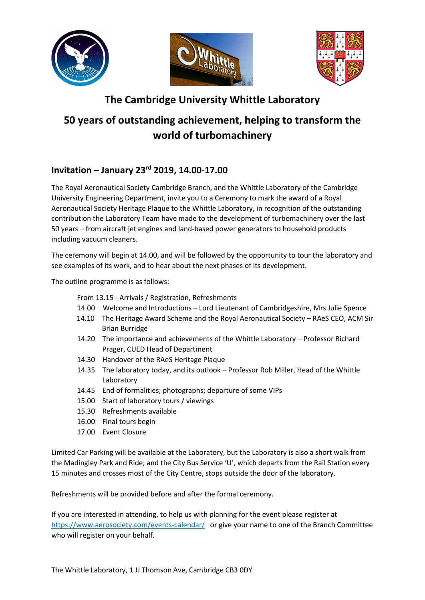





## The Cambridge University Whittle Laboratory

## 50 years of outstanding achievement, helping to transform the world of turbomachinery

## Invitation – January 23rd 2019, 14.00-17.00

The Royal Aeronautical Society Cambridge Branch, and the Whittle Laboratory of the Cambridge University Engineering Department, invite you to a Ceremony to mark the award of a Royal Aeronautical Society Heritage Plaque to the Whittle Laboratory, in recognition of the outstanding contribution the Laboratory Team have made to the development of turbomachinery over the last 50 years – from aircraft jet engines and land-based power generators to household products including vacuum cleaners.

The ceremony will begin at 14.00, and will be followed by the opportunity to tour the laboratory and see examples of its work, and to hear about the next phases of its development.

The outline programme is as follows:

- From 13.15 Arrivals / Registration, Refreshments
- 14.00 Welcome and Introductions Lord Lieutenant of Cambridgeshire, Mrs Julie Spence
- 14.10 The Heritage Award Scheme and the Royal Aeronautical Society RAeS CEO, ACM Sir Brian Burridge
- 14.20 The importance and achievements of the Whittle Laboratory Professor Richard Prager, CUED Head of Department
- 14.30 Handover of the RAeS Heritage Plaque
- 14.35 The laboratory today, and its outlook Professor Rob Miller, Head of the Whittle Laboratory
- 14.45 End of formalities; photographs; departure of some VIPs
- 15.00 Start of laboratory tours / viewings
- 15.30 Refreshments available
- 16.00 Final tours begin
- 17.00 Event Closure

Limited Car Parking will be available at the Laboratory, but the Laboratory is also a short walk from the Madingley Park and Ride; and the City Bus Service 'U', which departs from the Rail Station every 15 minutes and crosses most of the City Centre, stops outside the door of the laboratory.

Refreshments will be provided before and after the formal ceremony.

If you are interested in attending, to help us with planning for the event please register at https://www.aerosociety.com/events-calendar/ or give your name to one of the Branch Committee who will register on your behalf.